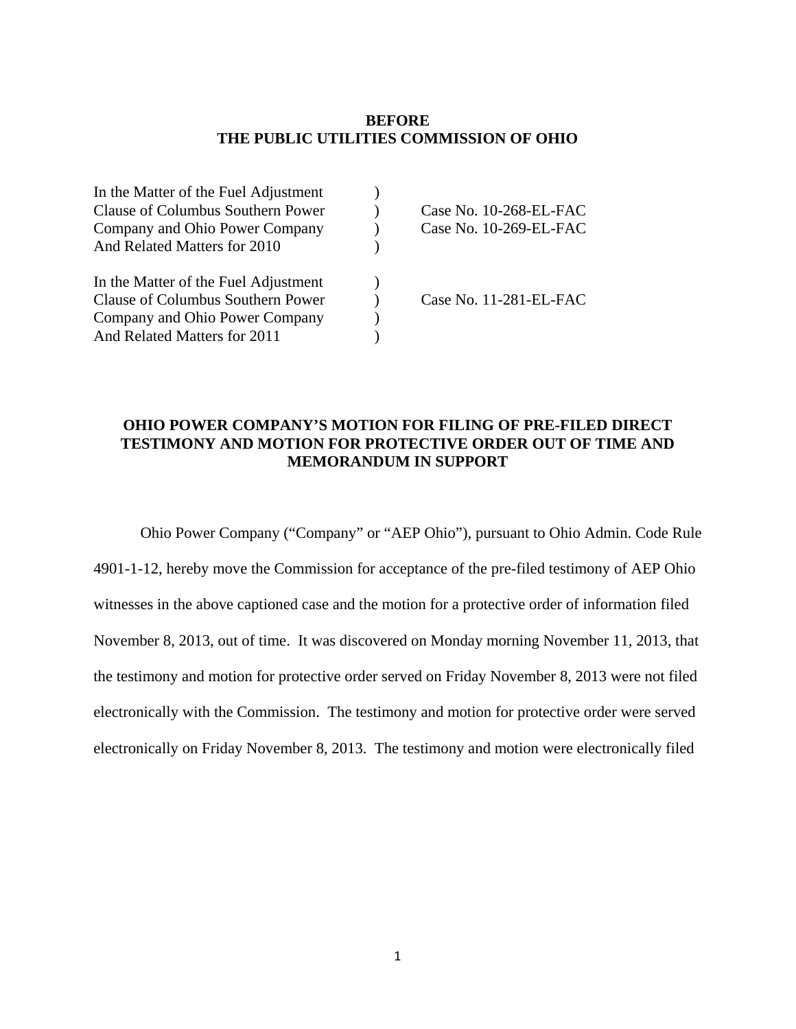### **BEFORE THE PUBLIC UTILITIES COMMISSION OF OHIO**

| In the Matter of the Fuel Adjustment |                        |
|--------------------------------------|------------------------|
| Clause of Columbus Southern Power    | Case No. 10-268-EL-FAC |
| Company and Ohio Power Company       | Case No. 10-269-EL-FAC |
| And Related Matters for 2010         |                        |
| In the Matter of the Fuel Adjustment |                        |
| Clause of Columbus Southern Power    | Case No. 11-281-EL-FAC |
| Company and Ohio Power Company       |                        |
| And Related Matters for 2011         |                        |

### **OHIO POWER COMPANY'S MOTION FOR FILING OF PRE-FILED DIRECT TESTIMONY AND MOTION FOR PROTECTIVE ORDER OUT OF TIME AND MEMORANDUM IN SUPPORT**

Ohio Power Company ("Company" or "AEP Ohio"), pursuant to Ohio Admin. Code Rule 4901-1-12, hereby move the Commission for acceptance of the pre-filed testimony of AEP Ohio witnesses in the above captioned case and the motion for a protective order of information filed November 8, 2013, out of time. It was discovered on Monday morning November 11, 2013, that the testimony and motion for protective order served on Friday November 8, 2013 were not filed electronically with the Commission. The testimony and motion for protective order were served electronically on Friday November 8, 2013. The testimony and motion were electronically filed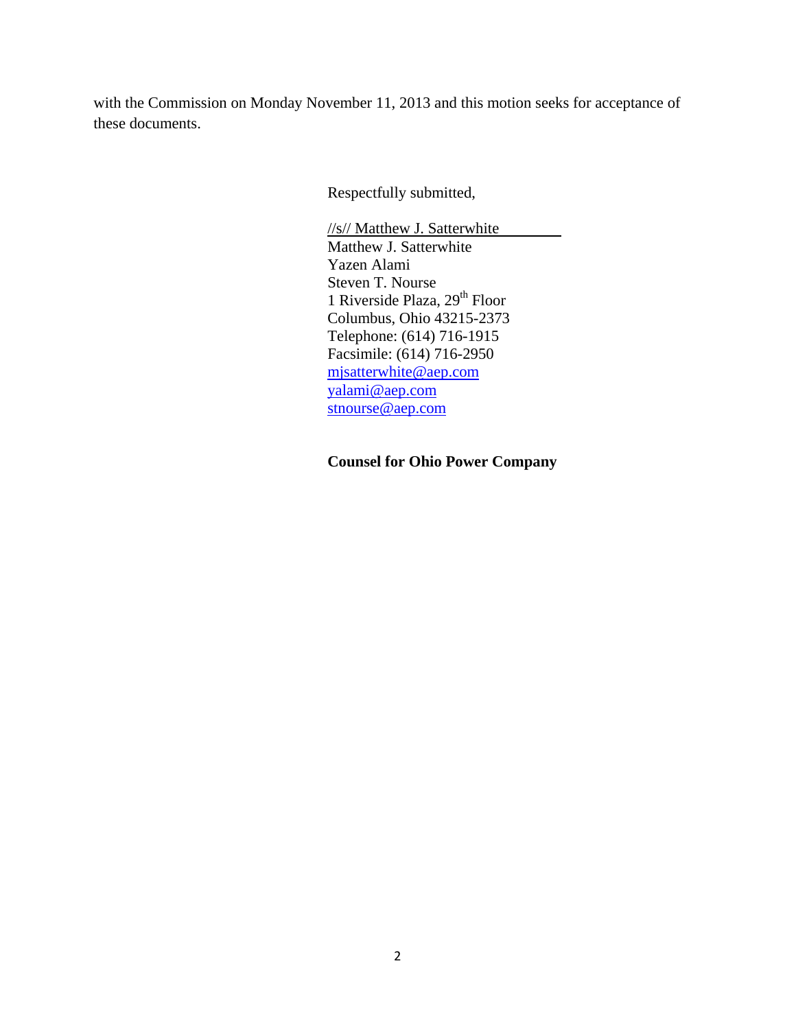with the Commission on Monday November 11, 2013 and this motion seeks for acceptance of these documents.

Respectfully submitted,

//s// Matthew J. Satterwhite Matthew J. Satterwhite Yazen Alami Steven T. Nourse 1 Riverside Plaza, 29<sup>th</sup> Floor Columbus, Ohio 43215-2373 Telephone: (614) 716-1915 Facsimile: (614) 716-2950 mjsatterwhite@aep.com yalami@aep.com stnourse@aep.com

 **Counsel for Ohio Power Company**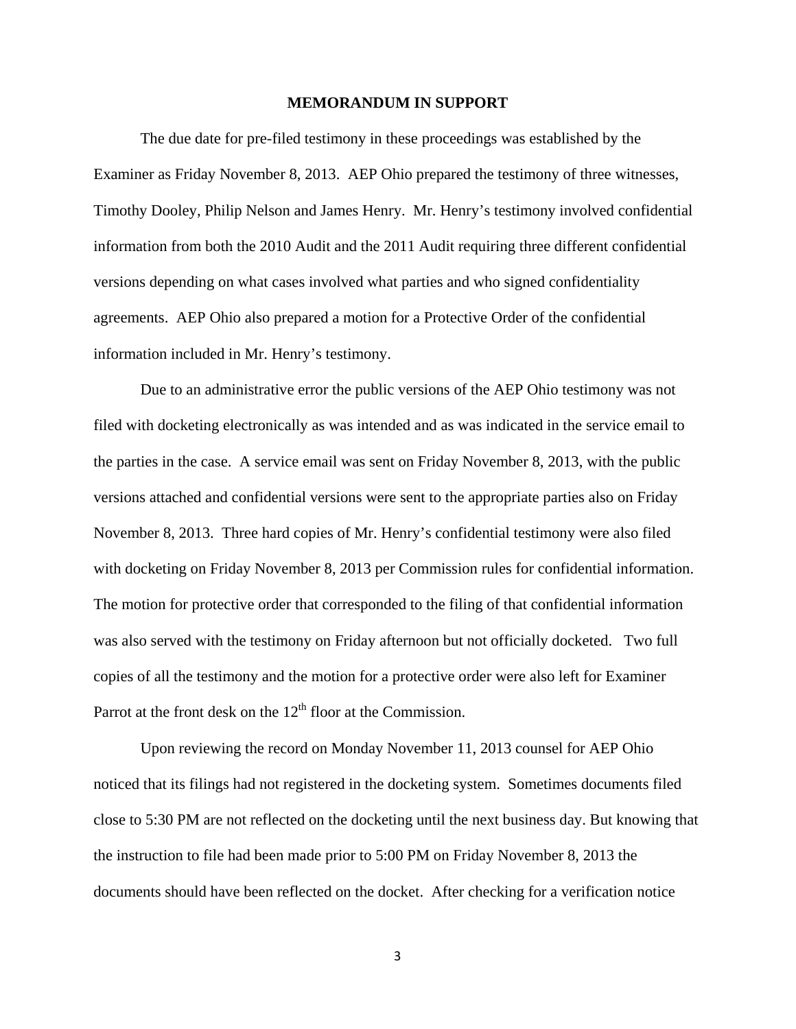#### **MEMORANDUM IN SUPPORT**

 The due date for pre-filed testimony in these proceedings was established by the Examiner as Friday November 8, 2013. AEP Ohio prepared the testimony of three witnesses, Timothy Dooley, Philip Nelson and James Henry. Mr. Henry's testimony involved confidential information from both the 2010 Audit and the 2011 Audit requiring three different confidential versions depending on what cases involved what parties and who signed confidentiality agreements. AEP Ohio also prepared a motion for a Protective Order of the confidential information included in Mr. Henry's testimony.

 Due to an administrative error the public versions of the AEP Ohio testimony was not filed with docketing electronically as was intended and as was indicated in the service email to the parties in the case. A service email was sent on Friday November 8, 2013, with the public versions attached and confidential versions were sent to the appropriate parties also on Friday November 8, 2013. Three hard copies of Mr. Henry's confidential testimony were also filed with docketing on Friday November 8, 2013 per Commission rules for confidential information. The motion for protective order that corresponded to the filing of that confidential information was also served with the testimony on Friday afternoon but not officially docketed. Two full copies of all the testimony and the motion for a protective order were also left for Examiner Parrot at the front desk on the  $12<sup>th</sup>$  floor at the Commission.

 Upon reviewing the record on Monday November 11, 2013 counsel for AEP Ohio noticed that its filings had not registered in the docketing system. Sometimes documents filed close to 5:30 PM are not reflected on the docketing until the next business day. But knowing that the instruction to file had been made prior to 5:00 PM on Friday November 8, 2013 the documents should have been reflected on the docket. After checking for a verification notice

3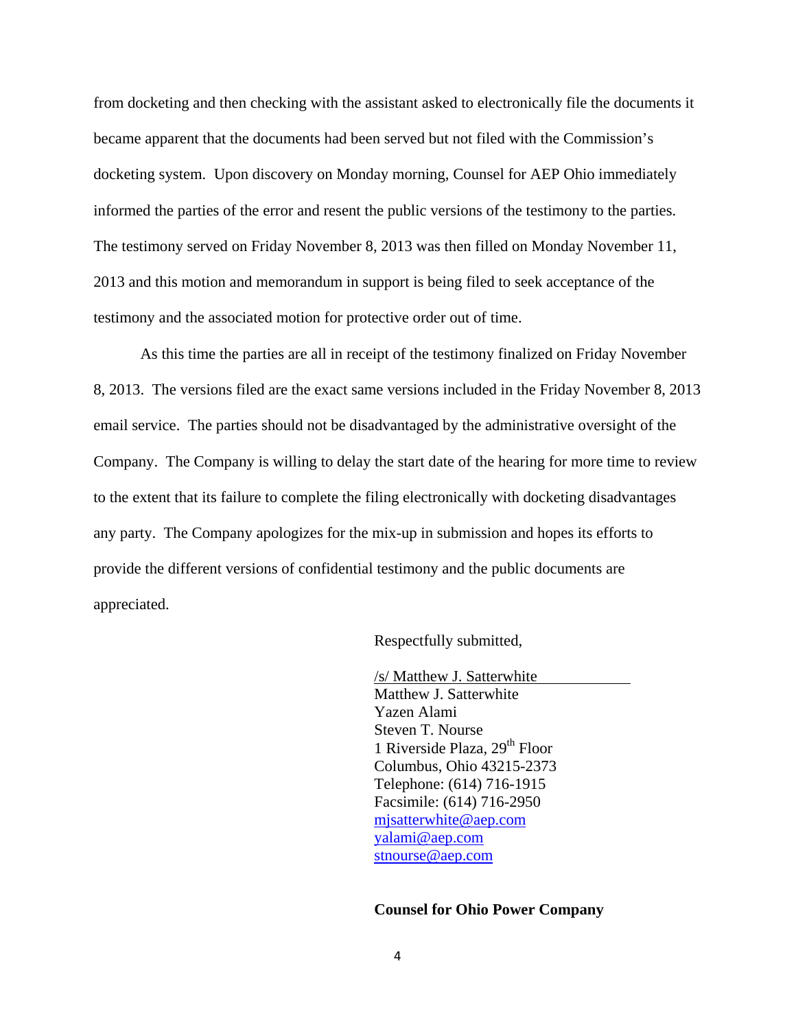from docketing and then checking with the assistant asked to electronically file the documents it became apparent that the documents had been served but not filed with the Commission's docketing system. Upon discovery on Monday morning, Counsel for AEP Ohio immediately informed the parties of the error and resent the public versions of the testimony to the parties. The testimony served on Friday November 8, 2013 was then filled on Monday November 11, 2013 and this motion and memorandum in support is being filed to seek acceptance of the testimony and the associated motion for protective order out of time.

 As this time the parties are all in receipt of the testimony finalized on Friday November 8, 2013. The versions filed are the exact same versions included in the Friday November 8, 2013 email service. The parties should not be disadvantaged by the administrative oversight of the Company. The Company is willing to delay the start date of the hearing for more time to review to the extent that its failure to complete the filing electronically with docketing disadvantages any party. The Company apologizes for the mix-up in submission and hopes its efforts to provide the different versions of confidential testimony and the public documents are appreciated.

Respectfully submitted,

/s/ Matthew J. Satterwhite Matthew J. Satterwhite Yazen Alami Steven T. Nourse 1 Riverside Plaza,  $29<sup>th</sup>$  Floor Columbus, Ohio 43215-2373 Telephone: (614) 716-1915 Facsimile: (614) 716-2950 mjsatterwhite@aep.com yalami@aep.com stnourse@aep.com

#### **Counsel for Ohio Power Company**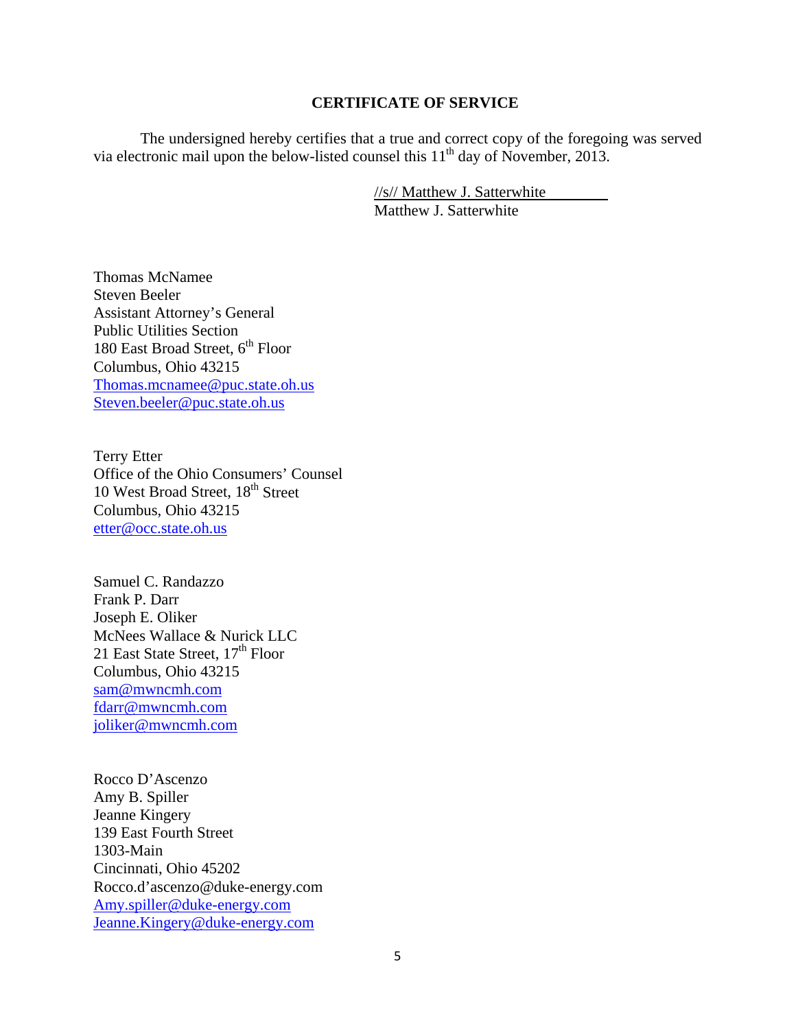### **CERTIFICATE OF SERVICE**

The undersigned hereby certifies that a true and correct copy of the foregoing was served via electronic mail upon the below-listed counsel this  $11<sup>th</sup>$  day of November, 2013.

> //s// Matthew J. Satterwhite Matthew J. Satterwhite

Thomas McNamee Steven Beeler Assistant Attorney's General Public Utilities Section 180 East Broad Street,  $6^{\rm th}$  Floor Columbus, Ohio 43215 Thomas.mcnamee@puc.state.oh.us Steven.beeler@puc.state.oh.us

Terry Etter Office of the Ohio Consumers' Counsel 10 West Broad Street, 18<sup>th</sup> Street Columbus, Ohio 43215 etter@occ.state.oh.us

Samuel C. Randazzo Frank P. Darr Joseph E. Oliker McNees Wallace & Nurick LLC 21 East State Street,  $17<sup>th</sup>$  Floor Columbus, Ohio 43215 sam@mwncmh.com fdarr@mwncmh.com joliker@mwncmh.com

Rocco D'Ascenzo Amy B. Spiller Jeanne Kingery 139 East Fourth Street 1303-Main Cincinnati, Ohio 45202 Rocco.d'ascenzo@duke-energy.com Amy.spiller@duke-energy.com Jeanne.Kingery@duke-energy.com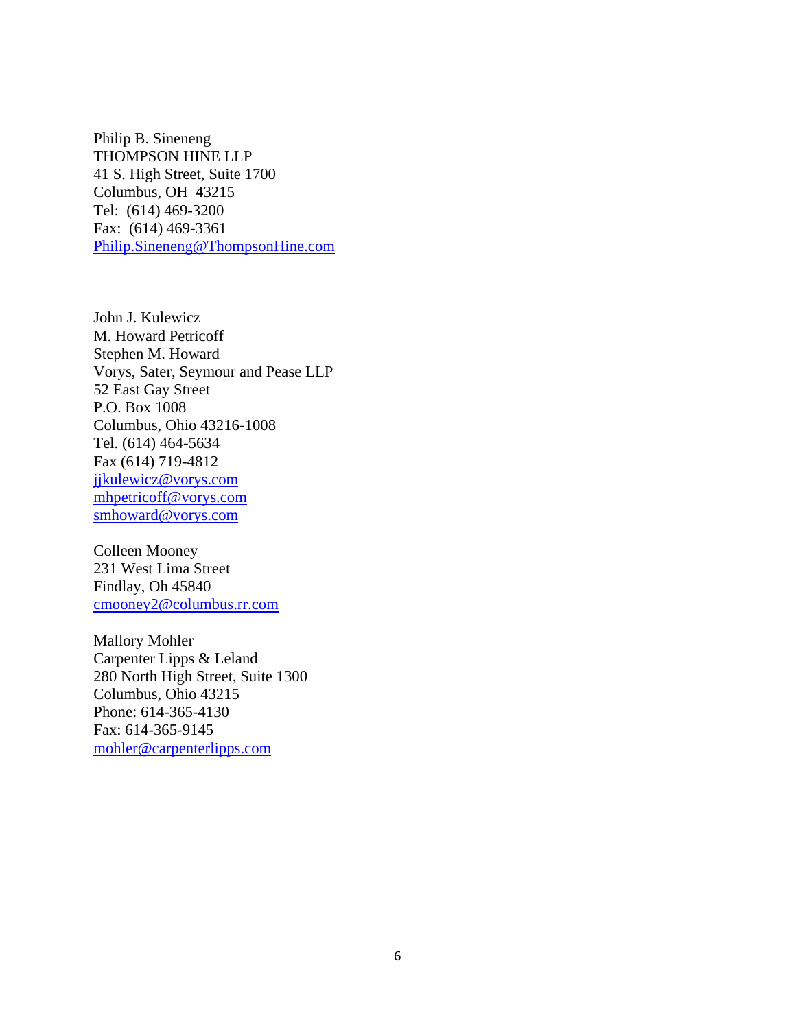Philip B. Sineneng THOMPSON HINE LLP 41 S. High Street, Suite 1700 Columbus, OH 43215 Tel: (614) 469-3200 Fax: (614) 469-3361 Philip.Sineneng@ThompsonHine.com

John J. Kulewicz M. Howard Petricoff Stephen M. Howard Vorys, Sater, Seymour and Pease LLP 52 East Gay Street P.O. Box 1008 Columbus, Ohio 43216-1008 Tel. (614) 464-5634 Fax (614) 719-4812 jjkulewicz@vorys.com mhpetricoff@vorys.com smhoward@vorys.com

Colleen Mooney 231 West Lima Street Findlay, Oh 45840 cmooney2@columbus.rr.com

Mallory Mohler Carpenter Lipps & Leland 280 North High Street, Suite 1300 Columbus, Ohio 43215 Phone: 614-365-4130 Fax: 614-365-9145 mohler@carpenterlipps.com